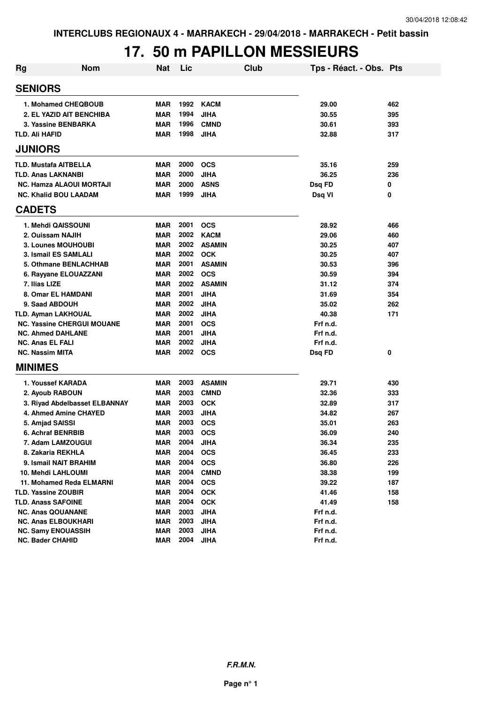# **17. 50 m PAPILLON MESSIEURS**

| <b>Rg</b> | <b>Nom</b>                        | <b>Nat</b> | Lic  |               | Club | Tps - Réact. - Obs. Pts |     |
|-----------|-----------------------------------|------------|------|---------------|------|-------------------------|-----|
|           | <b>SENIORS</b>                    |            |      |               |      |                         |     |
|           | 1. Mohamed CHEQBOUB               | <b>MAR</b> | 1992 | <b>KACM</b>   |      | 29.00                   | 462 |
|           | 2. EL YAZID AIT BENCHIBA          | <b>MAR</b> | 1994 | <b>JIHA</b>   |      | 30.55                   | 395 |
|           | 3. Yassine BENBARKA               | <b>MAR</b> | 1996 | <b>CMND</b>   |      | 30.61                   | 393 |
|           | TLD. Ali HAFID                    | <b>MAR</b> | 1998 | JIHA          |      | 32.88                   | 317 |
|           | <b>JUNIORS</b>                    |            |      |               |      |                         |     |
|           | <b>TLD. Mustafa AITBELLA</b>      | <b>MAR</b> | 2000 | <b>OCS</b>    |      | 35.16                   | 259 |
|           | TLD. Anas LAKNANBI                | <b>MAR</b> | 2000 | <b>JIHA</b>   |      | 36.25                   | 236 |
|           | <b>NC. Hamza ALAOUI MORTAJI</b>   | <b>MAR</b> | 2000 | <b>ASNS</b>   |      | Dsq FD                  | 0   |
|           | <b>NC. Khalid BOU LAADAM</b>      | <b>MAR</b> | 1999 | <b>JIHA</b>   |      | Dsq VI                  | 0   |
|           | <b>CADETS</b>                     |            |      |               |      |                         |     |
|           | 1. Mehdi QAISSOUNI                | <b>MAR</b> | 2001 | <b>OCS</b>    |      | 28.92                   | 466 |
|           | 2. Ouissam NAJIH                  | <b>MAR</b> | 2002 | <b>KACM</b>   |      | 29.06                   | 460 |
|           | 3. Lounes MOUHOUBI                | <b>MAR</b> | 2002 | <b>ASAMIN</b> |      | 30.25                   | 407 |
|           | 3. Ismail ES SAMLALI              | <b>MAR</b> |      | 2002 OCK      |      | 30.25                   | 407 |
|           | 5. Othmane BENLACHHAB             | <b>MAR</b> | 2001 | <b>ASAMIN</b> |      | 30.53                   | 396 |
|           | 6. Rayyane ELOUAZZANI             | <b>MAR</b> | 2002 | <b>OCS</b>    |      | 30.59                   | 394 |
|           | 7. Ilias LIZE                     | <b>MAR</b> | 2002 | <b>ASAMIN</b> |      | 31.12                   | 374 |
|           | 8. Omar EL HAMDANI                | <b>MAR</b> | 2001 | <b>JIHA</b>   |      | 31.69                   | 354 |
|           | 9. Saad ABDOUH                    | <b>MAR</b> | 2002 | <b>JIHA</b>   |      | 35.02                   | 262 |
|           | <b>TLD. Ayman LAKHOUAL</b>        | <b>MAR</b> | 2002 | <b>JIHA</b>   |      | 40.38                   | 171 |
|           | <b>NC. Yassine CHERGUI MOUANE</b> | <b>MAR</b> | 2001 | <b>OCS</b>    |      | Frf n.d.                |     |
|           | <b>NC. Ahmed DAHLANE</b>          | <b>MAR</b> | 2001 | <b>JIHA</b>   |      | Frf n.d.                |     |
|           | <b>NC. Anas EL FALI</b>           | <b>MAR</b> | 2002 | <b>JIHA</b>   |      | Frf n.d.                |     |
|           | <b>NC. Nassim MITA</b>            | <b>MAR</b> | 2002 | <b>OCS</b>    |      | Dsq FD                  | 0   |
|           | <b>MINIMES</b>                    |            |      |               |      |                         |     |
|           | 1. Youssef KARADA                 | <b>MAR</b> | 2003 | <b>ASAMIN</b> |      | 29.71                   | 430 |
|           | 2. Ayoub RABOUN                   | <b>MAR</b> | 2003 | <b>CMND</b>   |      | 32.36                   | 333 |
|           | 3. Riyad Abdelbasset ELBANNAY     | <b>MAR</b> | 2003 | <b>OCK</b>    |      | 32.89                   | 317 |
|           | 4. Ahmed Amine CHAYED             | <b>MAR</b> | 2003 | <b>JIHA</b>   |      | 34.82                   | 267 |
|           | 5. Amjad SAISSI                   | <b>MAR</b> | 2003 | <b>OCS</b>    |      | 35.01                   | 263 |
|           | 6. Achraf BENRBIB                 | <b>MAR</b> | 2003 | <b>OCS</b>    |      | 36.09                   | 240 |
|           | 7. Adam LAMZOUGUI                 | <b>MAR</b> | 2004 | <b>JIHA</b>   |      | 36.34                   | 235 |
|           | 8. Zakaria REKHLA                 | <b>MAR</b> | 2004 | <b>OCS</b>    |      | 36.45                   | 233 |
|           | 9. Ismail NAIT BRAHIM             | <b>MAR</b> | 2004 | <b>OCS</b>    |      | 36.80                   | 226 |
|           | 10. Mehdi LAHLOUMI                | <b>MAR</b> | 2004 | <b>CMND</b>   |      | 38.38                   | 199 |
|           | 11. Mohamed Reda ELMARNI          | <b>MAR</b> | 2004 | <b>OCS</b>    |      | 39.22                   | 187 |
|           | <b>TLD. Yassine ZOUBIR</b>        | <b>MAR</b> | 2004 | <b>OCK</b>    |      | 41.46                   | 158 |
|           | TLD. Anass SAFOINE                | MAR        | 2004 | <b>OCK</b>    |      | 41.49                   | 158 |
|           | <b>NC. Anas QOUANANE</b>          | <b>MAR</b> | 2003 | <b>JIHA</b>   |      | Frf n.d.                |     |
|           | <b>NC. Anas ELBOUKHARI</b>        | <b>MAR</b> | 2003 | <b>JIHA</b>   |      | Frf n.d.                |     |
|           | <b>NC. Samy ENOUASSIH</b>         | <b>MAR</b> | 2003 | <b>JIHA</b>   |      | Frf n.d.                |     |
|           | <b>NC. Bader CHAHID</b>           | <b>MAR</b> | 2004 | <b>JIHA</b>   |      | Frf n.d.                |     |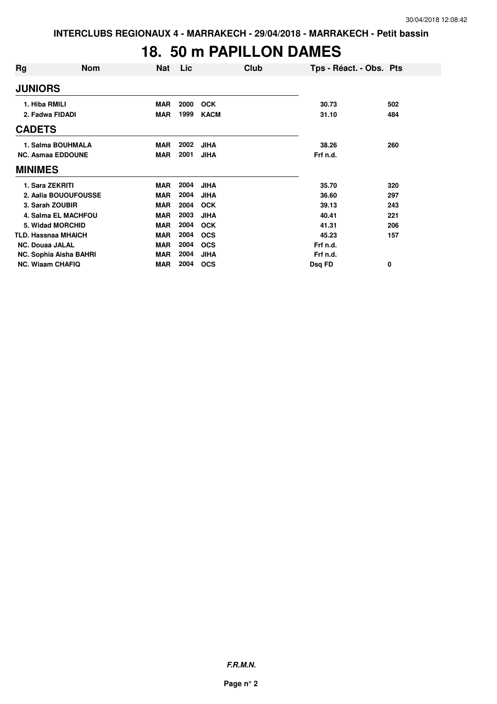## **18. 50 m PAPILLON DAMES**

| Rg                         | <b>Nom</b>                 | Nat        | Lic  | Club        | Tps - Réact. - Obs. Pts |     |
|----------------------------|----------------------------|------------|------|-------------|-------------------------|-----|
| <b>JUNIORS</b>             |                            |            |      |             |                         |     |
| 1. Hiba RMILI              |                            | <b>MAR</b> | 2000 | <b>OCK</b>  | 30.73                   | 502 |
| 2. Fadwa FIDADI            |                            | <b>MAR</b> | 1999 | <b>KACM</b> | 31.10                   | 484 |
| <b>CADETS</b>              |                            |            |      |             |                         |     |
|                            | 1. Salma BOUHMALA          | <b>MAR</b> | 2002 | <b>JIHA</b> | 38.26                   | 260 |
|                            | <b>NC. Asmaa EDDOUNE</b>   | <b>MAR</b> | 2001 | <b>JIHA</b> | Frf n.d.                |     |
| <b>MINIMES</b>             |                            |            |      |             |                         |     |
| 1. Sara ZEKRITI            |                            | <b>MAR</b> | 2004 | <b>JIHA</b> | 35.70                   | 320 |
|                            | 2. Aalia BOUOUFOUSSE       | <b>MAR</b> | 2004 | <b>JIHA</b> | 36.60                   | 297 |
| 3. Sarah ZOUBIR            |                            | <b>MAR</b> | 2004 | <b>OCK</b>  | 39.13                   | 243 |
|                            | <b>4. Salma EL MACHFOU</b> | <b>MAR</b> | 2003 | <b>JIHA</b> | 40.41                   | 221 |
|                            | 5. Widad MORCHID           | <b>MAR</b> | 2004 | <b>OCK</b>  | 41.31                   | 206 |
| <b>TLD. Hassnaa MHAICH</b> |                            | <b>MAR</b> | 2004 | <b>OCS</b>  | 45.23                   | 157 |
| <b>NC. Douaa JALAL</b>     |                            | <b>MAR</b> | 2004 | <b>OCS</b>  | Frf n.d.                |     |
|                            | NC. Sophia Aisha BAHRI     | <b>MAR</b> | 2004 | <b>JIHA</b> | Frf n.d.                |     |
| <b>NC. Wiaam CHAFIQ</b>    |                            | MAR        | 2004 | <b>OCS</b>  | Dsq FD                  | 0   |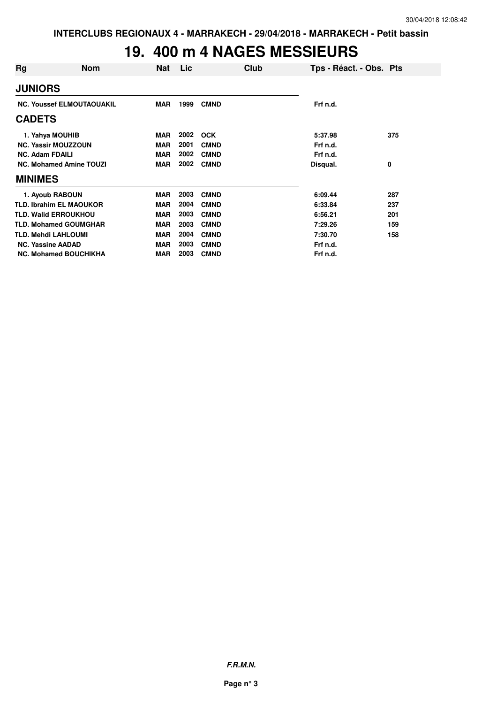# **19. 400 m 4 NAGES MESSIEURS**

| Rg                         | <b>Nom</b>                       | Nat        | Lic  |             | Club | Tps - Réact. - Obs. Pts |     |
|----------------------------|----------------------------------|------------|------|-------------|------|-------------------------|-----|
| <b>JUNIORS</b>             |                                  |            |      |             |      |                         |     |
|                            | <b>NC. Youssef ELMOUTAOUAKIL</b> | <b>MAR</b> | 1999 | <b>CMND</b> |      | Frf n.d.                |     |
| <b>CADETS</b>              |                                  |            |      |             |      |                         |     |
| 1. Yahya MOUHIB            |                                  | <b>MAR</b> | 2002 | <b>OCK</b>  |      | 5:37.98                 | 375 |
|                            | <b>NC. Yassir MOUZZOUN</b>       | <b>MAR</b> | 2001 | <b>CMND</b> |      | Frf n.d.                |     |
| <b>NC. Adam FDAILI</b>     |                                  | <b>MAR</b> | 2002 | <b>CMND</b> |      | Frf n.d.                |     |
|                            | <b>NC. Mohamed Amine TOUZI</b>   | <b>MAR</b> | 2002 | <b>CMND</b> |      | Disqual.                | 0   |
| <b>MINIMES</b>             |                                  |            |      |             |      |                         |     |
| 1. Ayoub RABOUN            |                                  | <b>MAR</b> | 2003 | <b>CMND</b> |      | 6:09.44                 | 287 |
|                            | <b>TLD. Ibrahim EL MAOUKOR</b>   | <b>MAR</b> | 2004 | <b>CMND</b> |      | 6:33.84                 | 237 |
|                            | <b>TLD. Walid ERROUKHOU</b>      | <b>MAR</b> | 2003 | <b>CMND</b> |      | 6:56.21                 | 201 |
|                            | <b>TLD. Mohamed GOUMGHAR</b>     | <b>MAR</b> | 2003 | <b>CMND</b> |      | 7:29.26                 | 159 |
| <b>TLD. Mehdi LAHLOUMI</b> |                                  | <b>MAR</b> | 2004 | <b>CMND</b> |      | 7:30.70                 | 158 |
| <b>NC. Yassine AADAD</b>   |                                  | <b>MAR</b> | 2003 | <b>CMND</b> |      | Frf n.d.                |     |
|                            | <b>NC. Mohamed BOUCHIKHA</b>     | <b>MAR</b> | 2003 | <b>CMND</b> |      | Frf n.d.                |     |

**F.R.M.N.**

**Page n° 3**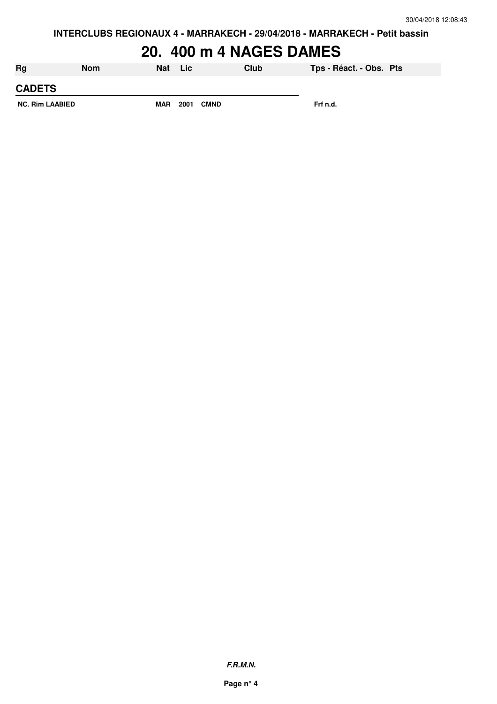# **20. 400 m 4 NAGES DAMES**

| Rg                     | <b>Nom</b> | Nat        | Lic  |             | Club | Tps - Réact. - Obs. Pts |  |
|------------------------|------------|------------|------|-------------|------|-------------------------|--|
| <b>CADETS</b>          |            |            |      |             |      |                         |  |
| <b>NC. Rim LAABIED</b> |            | <b>MAR</b> | 2001 | <b>CMND</b> |      | Frf n.d.                |  |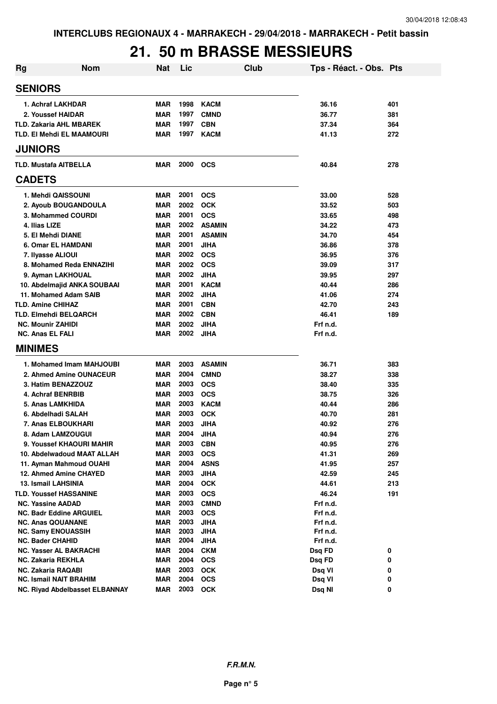## **21. 50 m BRASSE MESSIEURS**

| <b>Rg</b>                        | <b>Nom</b>                     | Nat        | Lic  |               | Club | Tps - Réact. - Obs. Pts |     |
|----------------------------------|--------------------------------|------------|------|---------------|------|-------------------------|-----|
| <b>SENIORS</b>                   |                                |            |      |               |      |                         |     |
| 1. Achraf LAKHDAR                |                                | <b>MAR</b> | 1998 | <b>KACM</b>   |      | 36.16                   | 401 |
| 2. Youssef HAIDAR                |                                | <b>MAR</b> | 1997 | <b>CMND</b>   |      | 36.77                   | 381 |
| <b>TLD. Zakaria AHL MBAREK</b>   |                                | <b>MAR</b> | 1997 | <b>CBN</b>    |      | 37.34                   | 364 |
| <b>TLD. EI Mehdi EL MAAMOURI</b> |                                | <b>MAR</b> | 1997 | <b>KACM</b>   |      | 41.13                   | 272 |
| <b>JUNIORS</b>                   |                                |            |      |               |      |                         |     |
| <b>TLD. Mustafa AITBELLA</b>     |                                | <b>MAR</b> | 2000 | <b>OCS</b>    |      | 40.84                   | 278 |
| <b>CADETS</b>                    |                                |            |      |               |      |                         |     |
| 1. Mehdi QAISSOUNI               |                                | <b>MAR</b> | 2001 | <b>OCS</b>    |      | 33.00                   | 528 |
| 2. Ayoub BOUGANDOULA             |                                | <b>MAR</b> | 2002 | <b>OCK</b>    |      | 33.52                   | 503 |
| 3. Mohammed COURDI               |                                | <b>MAR</b> | 2001 | <b>OCS</b>    |      | 33.65                   | 498 |
| 4. Ilias LIZE                    |                                | <b>MAR</b> | 2002 | <b>ASAMIN</b> |      | 34.22                   | 473 |
| 5. El Mehdi DIANE                |                                | <b>MAR</b> | 2001 | <b>ASAMIN</b> |      | 34.70                   | 454 |
| 6. Omar EL HAMDANI               |                                | <b>MAR</b> | 2001 | <b>JIHA</b>   |      | 36.86                   | 378 |
| 7. Ilyasse ALIOUI                |                                | <b>MAR</b> | 2002 | <b>OCS</b>    |      | 36.95                   | 376 |
| 8. Mohamed Reda ENNAZIHI         |                                | <b>MAR</b> | 2002 | <b>OCS</b>    |      | 39.09                   | 317 |
| 9. Ayman LAKHOUAL                |                                | <b>MAR</b> | 2002 | <b>JIHA</b>   |      | 39.95                   | 297 |
| 10. Abdelmajid ANKA SOUBAAI      |                                | <b>MAR</b> | 2001 | <b>KACM</b>   |      | 40.44                   | 286 |
| 11. Mohamed Adam SAIB            |                                | <b>MAR</b> | 2002 | <b>JIHA</b>   |      | 41.06                   | 274 |
| <b>TLD. Amine CHIHAZ</b>         |                                | <b>MAR</b> | 2001 | <b>CBN</b>    |      | 42.70                   | 243 |
| <b>TLD. Elmehdi BELQARCH</b>     |                                | <b>MAR</b> | 2002 | <b>CBN</b>    |      | 46.41                   | 189 |
| <b>NC. Mounir ZAHIDI</b>         |                                | <b>MAR</b> | 2002 | <b>JIHA</b>   |      | Frf n.d.                |     |
| <b>NC. Anas EL FALI</b>          |                                | <b>MAR</b> | 2002 | <b>JIHA</b>   |      | Frf n.d.                |     |
| <b>MINIMES</b>                   |                                |            |      |               |      |                         |     |
|                                  | 1. Mohamed Imam MAHJOUBI       | <b>MAR</b> | 2003 | <b>ASAMIN</b> |      | 36.71                   | 383 |
| 2. Ahmed Amine OUNACEUR          |                                | <b>MAR</b> | 2004 | <b>CMND</b>   |      | 38.27                   | 338 |
| 3. Hatim BENAZZOUZ               |                                | <b>MAR</b> | 2003 | <b>OCS</b>    |      | 38.40                   | 335 |
| 4. Achraf BENRBIB                |                                | <b>MAR</b> | 2003 | <b>OCS</b>    |      | 38.75                   | 326 |
| 5. Anas LAMKHIDA                 |                                | <b>MAR</b> | 2003 | <b>KACM</b>   |      | 40.44                   | 286 |
| 6. Abdelhadi SALAH               |                                | <b>MAR</b> | 2003 | <b>OCK</b>    |      | 40.70                   | 281 |
| 7. Anas ELBOUKHARI               |                                | <b>MAR</b> | 2003 | <b>JIHA</b>   |      | 40.92                   | 276 |
| 8. Adam LAMZOUGUI                |                                | <b>MAR</b> | 2004 | JIHA          |      | 40.94                   | 276 |
| 9. Youssef KHAOURI MAHIR         |                                | <b>MAR</b> | 2003 | <b>CBN</b>    |      | 40.95                   | 276 |
| 10. Abdelwadoud MAAT ALLAH       |                                | <b>MAR</b> | 2003 | <b>OCS</b>    |      | 41.31                   | 269 |
| 11. Ayman Mahmoud OUAHI          |                                | <b>MAR</b> | 2004 | <b>ASNS</b>   |      | 41.95                   | 257 |
| 12. Ahmed Amine CHAYED           |                                | <b>MAR</b> | 2003 | <b>JIHA</b>   |      | 42.59                   | 245 |
| 13. Ismail LAHSINIA              |                                | <b>MAR</b> | 2004 | <b>OCK</b>    |      | 44.61                   | 213 |
| TLD. Youssef HASSANINE           |                                | <b>MAR</b> | 2003 | <b>OCS</b>    |      | 46.24                   | 191 |
| <b>NC. Yassine AADAD</b>         |                                | <b>MAR</b> | 2003 | <b>CMND</b>   |      | Frf n.d.                |     |
| <b>NC. Badr Eddine ARGUIEL</b>   |                                | <b>MAR</b> | 2003 | <b>OCS</b>    |      | Frf n.d.                |     |
| <b>NC. Anas QOUANANE</b>         |                                | <b>MAR</b> | 2003 | <b>JIHA</b>   |      | Frf n.d.                |     |
| <b>NC. Samy ENOUASSIH</b>        |                                | <b>MAR</b> | 2003 | <b>JIHA</b>   |      | Frf n.d.                |     |
| NC. Bader CHAHID                 |                                | <b>MAR</b> | 2004 | <b>JIHA</b>   |      | Frf n.d.                |     |
| NC. Yasser AL BAKRACHI           |                                | MAR        | 2004 | <b>CKM</b>    |      | Dsq FD                  | 0   |
| NC. Zakaria REKHLA               |                                | <b>MAR</b> | 2004 | <b>OCS</b>    |      | Dsq FD                  | 0   |
| NC. Zakaria RAQABI               |                                | <b>MAR</b> | 2003 | <b>OCK</b>    |      | Dsq VI                  | 0   |
| <b>NC. Ismail NAIT BRAHIM</b>    |                                | <b>MAR</b> | 2004 | <b>OCS</b>    |      | Dsq VI                  | 0   |
|                                  | NC. Riyad Abdelbasset ELBANNAY | <b>MAR</b> | 2003 | <b>OCK</b>    |      | Dsq NI                  | 0   |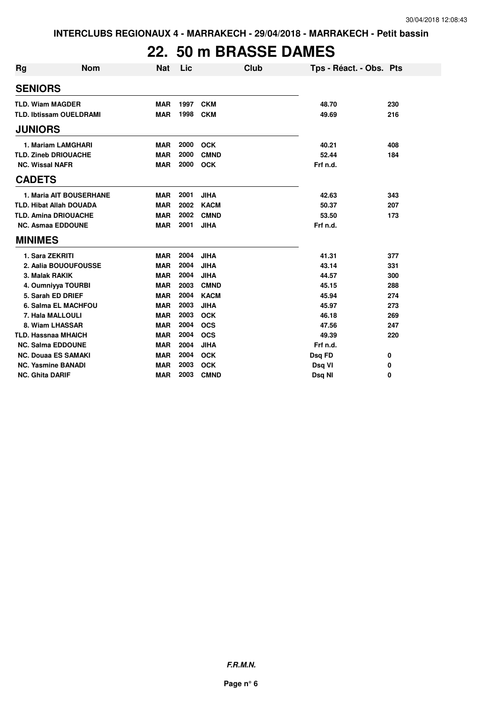# **22. 50 m BRASSE DAMES**

| Rg                     | <b>Nom</b>                     | <b>Nat</b> | Lic  | Club        | Tps - Réact. - Obs. Pts |     |
|------------------------|--------------------------------|------------|------|-------------|-------------------------|-----|
| <b>SENIORS</b>         |                                |            |      |             |                         |     |
|                        | <b>TLD. Wiam MAGDER</b>        | <b>MAR</b> | 1997 | <b>CKM</b>  | 48.70                   | 230 |
|                        | <b>TLD. Ibtissam OUELDRAMI</b> | <b>MAR</b> | 1998 | <b>CKM</b>  | 49.69                   | 216 |
| <b>JUNIORS</b>         |                                |            |      |             |                         |     |
|                        | 1. Mariam LAMGHARI             | <b>MAR</b> | 2000 | <b>OCK</b>  | 40.21                   | 408 |
|                        | <b>TLD. Zineb DRIOUACHE</b>    | <b>MAR</b> | 2000 | <b>CMND</b> | 52.44                   | 184 |
| <b>NC. Wissal NAFR</b> |                                | <b>MAR</b> | 2000 | <b>OCK</b>  | Frf n.d.                |     |
| <b>CADETS</b>          |                                |            |      |             |                         |     |
|                        | 1. Maria AIT BOUSERHANE        | <b>MAR</b> | 2001 | <b>JIHA</b> | 42.63                   | 343 |
|                        | <b>TLD. Hibat Allah DOUADA</b> | <b>MAR</b> | 2002 | <b>KACM</b> | 50.37                   | 207 |
|                        | <b>TLD. Amina DRIOUACHE</b>    | <b>MAR</b> | 2002 | <b>CMND</b> | 53.50                   | 173 |
|                        | <b>NC. Asmaa EDDOUNE</b>       | <b>MAR</b> | 2001 | <b>JIHA</b> | Frf n.d.                |     |
| <b>MINIMES</b>         |                                |            |      |             |                         |     |
|                        | 1. Sara ZEKRITI                | <b>MAR</b> | 2004 | <b>JIHA</b> | 41.31                   | 377 |
|                        | 2. Aalia BOUOUFOUSSE           | <b>MAR</b> | 2004 | <b>JIHA</b> | 43.14                   | 331 |
|                        | 3. Malak RAKIK                 | <b>MAR</b> | 2004 | <b>JIHA</b> | 44.57                   | 300 |
|                        | 4. Oumniyya TOURBI             | <b>MAR</b> | 2003 | <b>CMND</b> | 45.15                   | 288 |
|                        | 5. Sarah ED DRIEF              | <b>MAR</b> | 2004 | <b>KACM</b> | 45.94                   | 274 |
|                        | 6. Salma EL MACHFOU            | <b>MAR</b> | 2003 | <b>JIHA</b> | 45.97                   | 273 |
|                        | 7. Hala MALLOULI               | <b>MAR</b> | 2003 | <b>OCK</b>  | 46.18                   | 269 |
|                        | 8. Wiam LHASSAR                | <b>MAR</b> | 2004 | <b>OCS</b>  | 47.56                   | 247 |
|                        | <b>TLD. Hassnaa MHAICH</b>     | <b>MAR</b> | 2004 | <b>OCS</b>  | 49.39                   | 220 |
|                        | <b>NC. Salma EDDOUNE</b>       | <b>MAR</b> | 2004 | <b>JIHA</b> | Frf n.d.                |     |
|                        | <b>NC. Douaa ES SAMAKI</b>     | <b>MAR</b> | 2004 | <b>OCK</b>  | Dsq FD                  | 0   |
|                        | <b>NC. Yasmine BANADI</b>      | <b>MAR</b> | 2003 | <b>OCK</b>  | Dsq VI                  | 0   |
| <b>NC. Ghita DARIF</b> |                                | <b>MAR</b> | 2003 | <b>CMND</b> | Dsg NI                  | 0   |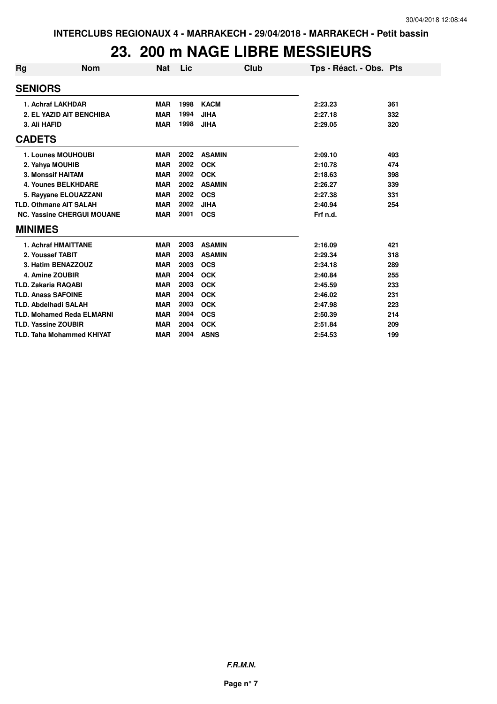## **23. 200 m NAGE LIBRE MESSIEURS**

| Rg             | <b>Nom</b>                        | Nat        | Lic  | Club          | Tps - Réact. - Obs. Pts |     |
|----------------|-----------------------------------|------------|------|---------------|-------------------------|-----|
|                | <b>SENIORS</b>                    |            |      |               |                         |     |
|                | 1. Achraf LAKHDAR                 | <b>MAR</b> | 1998 | <b>KACM</b>   | 2:23.23                 | 361 |
|                | 2. EL YAZID AIT BENCHIBA          | <b>MAR</b> | 1994 | <b>JIHA</b>   | 2:27.18                 | 332 |
|                | 3. Ali HAFID                      | <b>MAR</b> | 1998 | <b>JIHA</b>   | 2:29.05                 | 320 |
| <b>CADETS</b>  |                                   |            |      |               |                         |     |
|                | 1. Lounes MOUHOUBI                | <b>MAR</b> | 2002 | <b>ASAMIN</b> | 2:09.10                 | 493 |
|                | 2. Yahya MOUHIB                   | <b>MAR</b> | 2002 | <b>OCK</b>    | 2:10.78                 | 474 |
|                | 3. Monssif HAITAM                 | <b>MAR</b> | 2002 | <b>OCK</b>    | 2:18.63                 | 398 |
|                | <b>4. Younes BELKHDARE</b>        | <b>MAR</b> | 2002 | <b>ASAMIN</b> | 2:26.27                 | 339 |
|                | 5. Rayyane ELOUAZZANI             | <b>MAR</b> | 2002 | <b>OCS</b>    | 2:27.38                 | 331 |
|                | <b>TLD. Othmane AIT SALAH</b>     | <b>MAR</b> | 2002 | <b>JIHA</b>   | 2:40.94                 | 254 |
|                | <b>NC. Yassine CHERGUI MOUANE</b> | <b>MAR</b> | 2001 | <b>OCS</b>    | Frf n.d.                |     |
| <b>MINIMES</b> |                                   |            |      |               |                         |     |
|                | <b>1. Achraf HMAITTANE</b>        | <b>MAR</b> | 2003 | <b>ASAMIN</b> | 2:16.09                 | 421 |
|                | 2. Youssef TABIT                  | <b>MAR</b> | 2003 | <b>ASAMIN</b> | 2:29.34                 | 318 |
|                | 3. Hatim BENAZZOUZ                | <b>MAR</b> | 2003 | <b>OCS</b>    | 2:34.18                 | 289 |
|                | 4. Amine ZOUBIR                   | <b>MAR</b> | 2004 | <b>OCK</b>    | 2:40.84                 | 255 |
|                | <b>TLD. Zakaria RAQABI</b>        | <b>MAR</b> | 2003 | <b>OCK</b>    | 2:45.59                 | 233 |
|                | <b>TLD. Anass SAFOINE</b>         | <b>MAR</b> | 2004 | <b>OCK</b>    | 2:46.02                 | 231 |
|                | <b>TLD. Abdelhadi SALAH</b>       | <b>MAR</b> | 2003 | <b>OCK</b>    | 2:47.98                 | 223 |
|                | <b>TLD. Mohamed Reda ELMARNI</b>  | <b>MAR</b> | 2004 | <b>OCS</b>    | 2:50.39                 | 214 |
|                | <b>TLD. Yassine ZOUBIR</b>        | <b>MAR</b> | 2004 | <b>OCK</b>    | 2:51.84                 | 209 |
|                | <b>TLD. Taha Mohammed KHIYAT</b>  | <b>MAR</b> | 2004 | <b>ASNS</b>   | 2:54.53                 | 199 |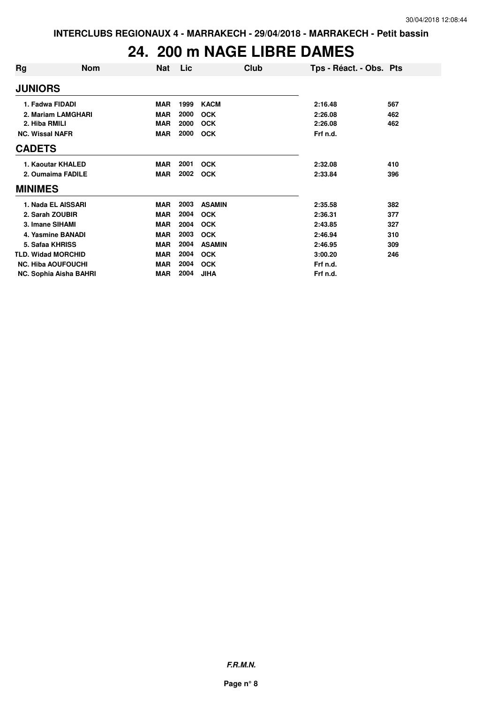## **24. 200 m NAGE LIBRE DAMES**

| Rg                        | <b>Nom</b> | <b>Nat</b> | Lic  | Club          | Tps - Réact. - Obs. Pts |     |
|---------------------------|------------|------------|------|---------------|-------------------------|-----|
| <b>JUNIORS</b>            |            |            |      |               |                         |     |
| 1. Fadwa FIDADI           |            | <b>MAR</b> | 1999 | <b>KACM</b>   | 2:16.48                 | 567 |
| 2. Mariam LAMGHARI        |            | <b>MAR</b> | 2000 | <b>OCK</b>    | 2:26.08                 | 462 |
| 2. Hiba RMILI             |            | <b>MAR</b> | 2000 | <b>OCK</b>    | 2:26.08                 | 462 |
| <b>NC. Wissal NAFR</b>    |            | <b>MAR</b> | 2000 | <b>OCK</b>    | Frf n.d.                |     |
| <b>CADETS</b>             |            |            |      |               |                         |     |
| 1. Kaoutar KHALED         |            | <b>MAR</b> | 2001 | <b>OCK</b>    | 2:32.08                 | 410 |
| 2. Oumaima FADILE         |            | <b>MAR</b> | 2002 | <b>OCK</b>    | 2:33.84                 | 396 |
| <b>MINIMES</b>            |            |            |      |               |                         |     |
| 1. Nada EL AISSARI        |            | <b>MAR</b> | 2003 | <b>ASAMIN</b> | 2:35.58                 | 382 |
| 2. Sarah ZOUBIR           |            | <b>MAR</b> | 2004 | <b>OCK</b>    | 2:36.31                 | 377 |
| 3. Imane SIHAMI           |            | <b>MAR</b> | 2004 | <b>OCK</b>    | 2:43.85                 | 327 |
| 4. Yasmine BANADI         |            | <b>MAR</b> | 2003 | <b>OCK</b>    | 2:46.94                 | 310 |
| 5. Safaa KHRISS           |            | <b>MAR</b> | 2004 | <b>ASAMIN</b> | 2:46.95                 | 309 |
| <b>TLD. Widad MORCHID</b> |            | <b>MAR</b> | 2004 | <b>OCK</b>    | 3:00.20                 | 246 |
| <b>NC. Hiba AOUFOUCHI</b> |            | <b>MAR</b> | 2004 | <b>OCK</b>    | Frf n.d.                |     |
| NC. Sophia Aisha BAHRI    |            | <b>MAR</b> | 2004 | <b>JIHA</b>   | Frf n.d.                |     |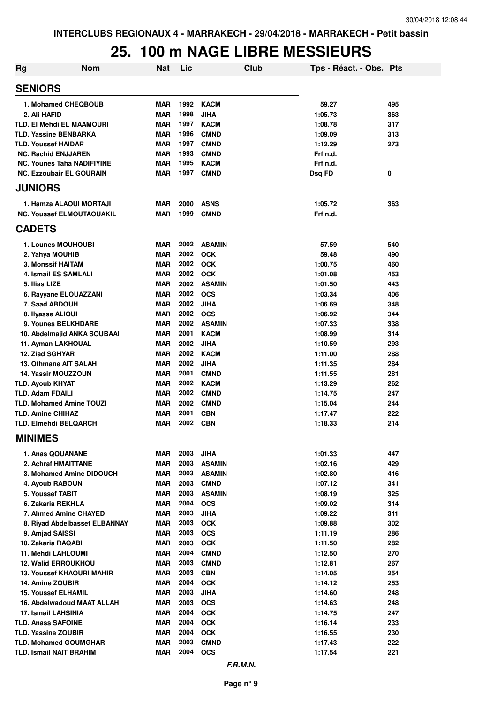# **25. 100 m NAGE LIBRE MESSIEURS**

| <b>Rg</b> | <b>Nom</b>                        | <b>Nat</b> | Lic  |               | <b>Club</b> | Tps - Réact. - Obs. Pts |     |
|-----------|-----------------------------------|------------|------|---------------|-------------|-------------------------|-----|
|           | <b>SENIORS</b>                    |            |      |               |             |                         |     |
|           | 1. Mohamed CHEQBOUB               | <b>MAR</b> | 1992 | <b>KACM</b>   |             | 59.27                   | 495 |
|           | 2. Ali HAFID                      | <b>MAR</b> | 1998 | <b>JIHA</b>   |             | 1:05.73                 | 363 |
|           | <b>TLD. EI Mehdi EL MAAMOURI</b>  | <b>MAR</b> | 1997 | <b>KACM</b>   |             | 1:08.78                 | 317 |
|           | <b>TLD. Yassine BENBARKA</b>      | <b>MAR</b> | 1996 | <b>CMND</b>   |             | 1:09.09                 | 313 |
|           | <b>TLD. Youssef HAIDAR</b>        | <b>MAR</b> | 1997 | <b>CMND</b>   |             | 1:12.29                 | 273 |
|           | <b>NC. Rachid ENJJAREN</b>        | <b>MAR</b> | 1993 | <b>CMND</b>   |             | Frf n.d.                |     |
|           | <b>NC. Younes Taha NADIFIYINE</b> | MAR        | 1995 | <b>KACM</b>   |             | Frf n.d.                |     |
|           | <b>NC. Ezzoubair EL GOURAIN</b>   | <b>MAR</b> | 1997 | <b>CMND</b>   |             | Dsq FD                  | 0   |
|           | <b>JUNIORS</b>                    |            |      |               |             |                         |     |
|           | 1. Hamza ALAOUI MORTAJI           | <b>MAR</b> | 2000 | <b>ASNS</b>   |             | 1:05.72                 | 363 |
|           | <b>NC. Youssef ELMOUTAOUAKIL</b>  | <b>MAR</b> | 1999 | <b>CMND</b>   |             | Frf n.d.                |     |
|           | <b>CADETS</b>                     |            |      |               |             |                         |     |
|           | 1. Lounes MOUHOUBI                | <b>MAR</b> | 2002 | <b>ASAMIN</b> |             | 57.59                   | 540 |
|           | 2. Yahya MOUHIB                   | <b>MAR</b> | 2002 | <b>OCK</b>    |             | 59.48                   | 490 |
|           | <b>3. Monssif HAITAM</b>          | <b>MAR</b> | 2002 | <b>OCK</b>    |             | 1:00.75                 | 460 |
|           | 4. Ismail ES SAMLALI              | <b>MAR</b> | 2002 | <b>OCK</b>    |             | 1:01.08                 | 453 |
|           | 5. Ilias LIZE                     | <b>MAR</b> | 2002 | <b>ASAMIN</b> |             | 1:01.50                 | 443 |
|           | 6. Rayyane ELOUAZZANI             | <b>MAR</b> | 2002 | <b>OCS</b>    |             | 1:03.34                 | 406 |
|           | 7. Saad ABDOUH                    | <b>MAR</b> | 2002 | <b>JIHA</b>   |             | 1:06.69                 | 348 |
|           | 8. Ilyasse ALIOUI                 | <b>MAR</b> | 2002 | <b>OCS</b>    |             | 1:06.92                 | 344 |
|           | 9. Younes BELKHDARE               | <b>MAR</b> | 2002 | <b>ASAMIN</b> |             | 1:07.33                 | 338 |
|           | 10. Abdelmajid ANKA SOUBAAI       | <b>MAR</b> | 2001 | <b>KACM</b>   |             | 1:08.99                 | 314 |
|           | 11. Ayman LAKHOUAL                | <b>MAR</b> | 2002 | <b>JIHA</b>   |             | 1:10.59                 | 293 |
|           | 12. Ziad SGHYAR                   | <b>MAR</b> | 2002 | KACM          |             | 1:11.00                 | 288 |
|           | 13. Othmane AIT SALAH             | <b>MAR</b> | 2002 | <b>JIHA</b>   |             | 1:11.35                 | 284 |
|           | <b>14. Yassir MOUZZOUN</b>        | <b>MAR</b> | 2001 | <b>CMND</b>   |             | 1:11.55                 | 281 |
|           | <b>TLD. Ayoub KHYAT</b>           | <b>MAR</b> | 2002 | <b>KACM</b>   |             | 1:13.29                 | 262 |
|           | <b>TLD. Adam FDAILI</b>           | <b>MAR</b> | 2002 | <b>CMND</b>   |             | 1:14.75                 | 247 |
|           | <b>TLD. Mohamed Amine TOUZI</b>   | <b>MAR</b> | 2002 | <b>CMND</b>   |             | 1:15.04                 | 244 |
|           | <b>TLD. Amine CHIHAZ</b>          | <b>MAR</b> | 2001 | <b>CBN</b>    |             | 1:17.47                 | 222 |
|           | <b>TLD. Elmehdi BELQARCH</b>      | <b>MAR</b> | 2002 | <b>CBN</b>    |             | 1:18.33                 | 214 |
|           | <b>MINIMES</b>                    |            |      |               |             |                         |     |
|           | 1. Anas QOUANANE                  | MAR        | 2003 | <b>JIHA</b>   |             | 1:01.33                 | 447 |
|           | 2. Achraf HMAITTANE               | <b>MAR</b> | 2003 | <b>ASAMIN</b> |             | 1:02.16                 | 429 |
|           | 3. Mohamed Amine DIDOUCH          | <b>MAR</b> | 2003 | <b>ASAMIN</b> |             | 1:02.80                 | 416 |
|           | 4. Ayoub RABOUN                   | <b>MAR</b> | 2003 | <b>CMND</b>   |             | 1:07.12                 | 341 |
|           | 5. Youssef TABIT                  | <b>MAR</b> | 2003 | <b>ASAMIN</b> |             | 1:08.19                 | 325 |
|           | 6. Zakaria REKHLA                 | <b>MAR</b> | 2004 | <b>OCS</b>    |             | 1:09.02                 | 314 |
|           | 7. Ahmed Amine CHAYED             | <b>MAR</b> | 2003 | <b>JIHA</b>   |             | 1:09.22                 | 311 |
|           | 8. Riyad Abdelbasset ELBANNAY     | <b>MAR</b> | 2003 | <b>OCK</b>    |             | 1:09.88                 | 302 |
|           | 9. Amjad SAISSI                   | <b>MAR</b> | 2003 | <b>OCS</b>    |             | 1:11.19                 | 286 |
|           | 10. Zakaria RAQABI                | <b>MAR</b> | 2003 | <b>OCK</b>    |             | 1:11.50                 | 282 |
|           | 11. Mehdi LAHLOUMI                | <b>MAR</b> | 2004 | <b>CMND</b>   |             | 1:12.50                 | 270 |
|           | <b>12. Walid ERROUKHOU</b>        | <b>MAR</b> | 2003 | <b>CMND</b>   |             | 1:12.81                 | 267 |
|           | 13. Youssef KHAOURI MAHIR         | <b>MAR</b> | 2003 | <b>CBN</b>    |             | 1:14.05                 | 254 |
|           | 14. Amine ZOUBIR                  | <b>MAR</b> | 2004 | <b>OCK</b>    |             | 1:14.12                 | 253 |
|           | <b>15. Youssef ELHAMIL</b>        | <b>MAR</b> | 2003 | <b>JIHA</b>   |             | 1:14.60                 | 248 |
|           | 16. Abdelwadoud MAAT ALLAH        | <b>MAR</b> | 2003 | <b>OCS</b>    |             | 1:14.63                 | 248 |
|           | 17. Ismail LAHSINIA               | <b>MAR</b> | 2004 | <b>OCK</b>    |             | 1:14.75                 | 247 |
|           | <b>TLD. Anass SAFOINE</b>         | <b>MAR</b> | 2004 | <b>OCK</b>    |             | 1:16.14                 | 233 |
|           | <b>TLD. Yassine ZOUBIR</b>        | <b>MAR</b> | 2004 | <b>OCK</b>    |             | 1:16.55                 | 230 |
|           | <b>TLD. Mohamed GOUMGHAR</b>      | <b>MAR</b> | 2003 | <b>CMND</b>   |             | 1:17.43                 | 222 |
|           | <b>TLD. Ismail NAIT BRAHIM</b>    | MAR        | 2004 | <b>OCS</b>    |             | 1:17.54                 | 221 |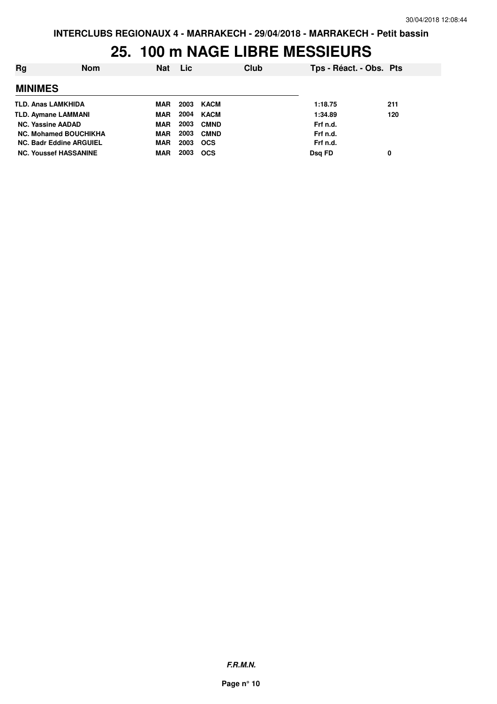### **25. 100 m NAGE LIBRE MESSIEURS**

| Rg                             | <b>Nom</b> | <b>Nat</b> | <b>Lic</b> |             | Club | Tps - Réact. - Obs. Pts |     |
|--------------------------------|------------|------------|------------|-------------|------|-------------------------|-----|
| <b>MINIMES</b>                 |            |            |            |             |      |                         |     |
| <b>TLD. Anas LAMKHIDA</b>      |            | <b>MAR</b> | 2003       | KACM        |      | 1:18.75                 | 211 |
| <b>TLD. Aymane LAMMANI</b>     |            | <b>MAR</b> | 2004       | KACM        |      | 1:34.89                 | 120 |
| <b>NC. Yassine AADAD</b>       |            | <b>MAR</b> | 2003       | <b>CMND</b> |      | Frf n.d.                |     |
| <b>NC. Mohamed BOUCHIKHA</b>   |            | <b>MAR</b> | 2003       | <b>CMND</b> |      | Frf n.d.                |     |
| <b>NC. Badr Eddine ARGUIEL</b> |            | <b>MAR</b> | 2003       | <b>OCS</b>  |      | Frf n.d.                |     |
| <b>NC. Youssef HASSANINE</b>   |            | MAR        | 2003       | <b>OCS</b>  |      | Dsg FD                  | 0   |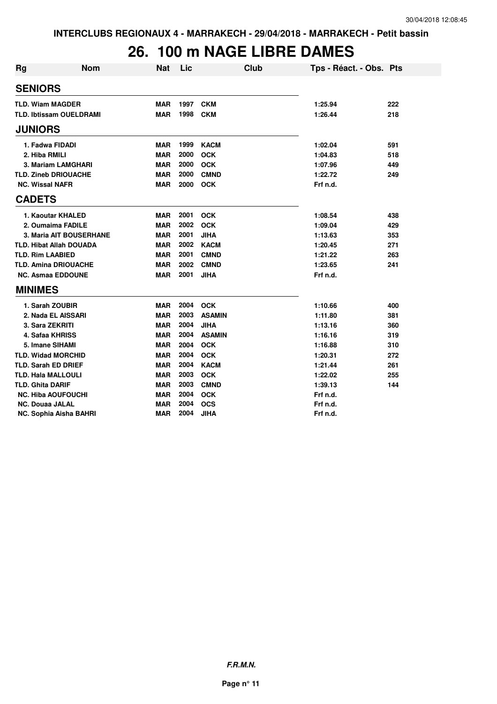# **26. 100 m NAGE LIBRE DAMES**

| <b>Rg</b> | <b>Nom</b>                     | <b>Nat</b> | Lic  | <b>Club</b>   | Tps - Réact. - Obs. Pts |     |
|-----------|--------------------------------|------------|------|---------------|-------------------------|-----|
|           | <b>SENIORS</b>                 |            |      |               |                         |     |
|           | <b>TLD. Wiam MAGDER</b>        | <b>MAR</b> | 1997 | <b>CKM</b>    | 1:25.94                 | 222 |
|           | <b>TLD. Ibtissam OUELDRAMI</b> | <b>MAR</b> | 1998 | <b>CKM</b>    | 1:26.44                 | 218 |
|           | <b>JUNIORS</b>                 |            |      |               |                         |     |
|           | 1. Fadwa FIDADI                | <b>MAR</b> | 1999 | <b>KACM</b>   | 1:02.04                 | 591 |
|           | 2. Hiba RMILI                  | <b>MAR</b> | 2000 | <b>OCK</b>    | 1:04.83                 | 518 |
|           | 3. Mariam LAMGHARI             | <b>MAR</b> | 2000 | <b>OCK</b>    | 1:07.96                 | 449 |
|           | <b>TLD. Zineb DRIOUACHE</b>    | <b>MAR</b> | 2000 | <b>CMND</b>   | 1:22.72                 | 249 |
|           | <b>NC. Wissal NAFR</b>         | <b>MAR</b> | 2000 | <b>OCK</b>    | Frf n.d.                |     |
|           | <b>CADETS</b>                  |            |      |               |                         |     |
|           | 1. Kaoutar KHALED              | <b>MAR</b> | 2001 | <b>OCK</b>    | 1:08.54                 | 438 |
|           | 2. Oumaima FADILE              | <b>MAR</b> | 2002 | <b>OCK</b>    | 1:09.04                 | 429 |
|           | 3. Maria AIT BOUSERHANE        | <b>MAR</b> | 2001 | <b>JIHA</b>   | 1:13.63                 | 353 |
|           | <b>TLD. Hibat Allah DOUADA</b> | <b>MAR</b> | 2002 | <b>KACM</b>   | 1:20.45                 | 271 |
|           | <b>TLD. Rim LAABIED</b>        | <b>MAR</b> | 2001 | <b>CMND</b>   | 1:21.22                 | 263 |
|           | <b>TLD. Amina DRIOUACHE</b>    | <b>MAR</b> | 2002 | <b>CMND</b>   | 1:23.65                 | 241 |
|           | <b>NC. Asmaa EDDOUNE</b>       | <b>MAR</b> | 2001 | <b>JIHA</b>   | Frf n.d.                |     |
|           | <b>MINIMES</b>                 |            |      |               |                         |     |
|           | 1. Sarah ZOUBIR                | <b>MAR</b> | 2004 | <b>OCK</b>    | 1:10.66                 | 400 |
|           | 2. Nada EL AISSARI             | <b>MAR</b> | 2003 | <b>ASAMIN</b> | 1:11.80                 | 381 |
|           | 3. Sara ZEKRITI                | <b>MAR</b> | 2004 | <b>JIHA</b>   | 1:13.16                 | 360 |
|           | 4. Safaa KHRISS                | <b>MAR</b> | 2004 | <b>ASAMIN</b> | 1:16.16                 | 319 |
|           | 5. Imane SIHAMI                | <b>MAR</b> | 2004 | <b>OCK</b>    | 1:16.88                 | 310 |
|           | <b>TLD. Widad MORCHID</b>      | <b>MAR</b> | 2004 | <b>OCK</b>    | 1:20.31                 | 272 |
|           | <b>TLD. Sarah ED DRIEF</b>     | <b>MAR</b> | 2004 | <b>KACM</b>   | 1:21.44                 | 261 |
|           | <b>TLD. Hala MALLOULI</b>      | <b>MAR</b> | 2003 | <b>OCK</b>    | 1:22.02                 | 255 |
|           | <b>TLD. Ghita DARIF</b>        | <b>MAR</b> | 2003 | <b>CMND</b>   | 1:39.13                 | 144 |
|           | <b>NC. Hiba AOUFOUCHI</b>      | <b>MAR</b> | 2004 | <b>OCK</b>    | Frf n.d.                |     |
|           | <b>NC. Douaa JALAL</b>         | <b>MAR</b> | 2004 | <b>OCS</b>    | Frf n.d.                |     |
|           | NC. Sophia Aisha BAHRI         | <b>MAR</b> | 2004 | <b>JIHA</b>   | Frf n.d.                |     |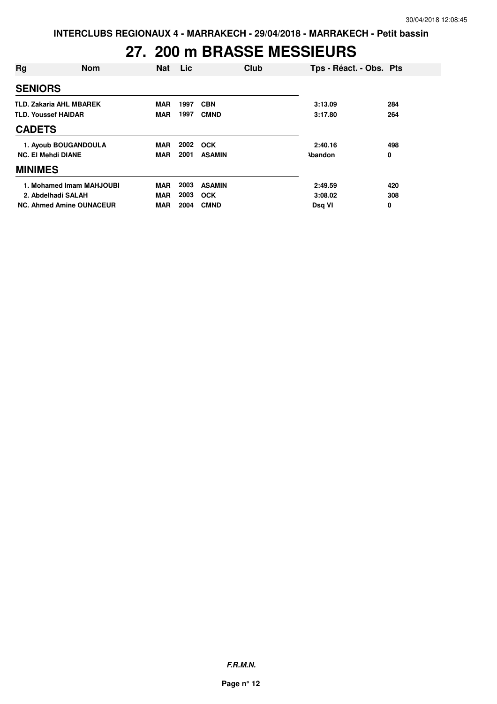# **27. 200 m BRASSE MESSIEURS**

| Rg                             | <b>Nom</b>                      | <b>Nat</b> | Lic. | Club          | Tps - Réact. - Obs. Pts |     |
|--------------------------------|---------------------------------|------------|------|---------------|-------------------------|-----|
| <b>SENIORS</b>                 |                                 |            |      |               |                         |     |
| <b>TLD. Zakaria AHL MBAREK</b> |                                 | <b>MAR</b> | 1997 | <b>CBN</b>    | 3:13.09                 | 284 |
| <b>TLD. Youssef HAIDAR</b>     |                                 | <b>MAR</b> | 1997 | <b>CMND</b>   | 3:17.80                 | 264 |
| <b>CADETS</b>                  |                                 |            |      |               |                         |     |
|                                | 1. Ayoub BOUGANDOULA            | <b>MAR</b> | 2002 | <b>OCK</b>    | 2:40.16                 | 498 |
| <b>NC. El Mehdi DIANE</b>      |                                 | <b>MAR</b> | 2001 | <b>ASAMIN</b> | <b>\bandon</b>          | 0   |
| <b>MINIMES</b>                 |                                 |            |      |               |                         |     |
|                                | 1. Mohamed Imam MAHJOUBI        | <b>MAR</b> | 2003 | <b>ASAMIN</b> | 2:49.59                 | 420 |
| 2. Abdelhadi SALAH             |                                 | <b>MAR</b> | 2003 | <b>OCK</b>    | 3:08.02                 | 308 |
|                                | <b>NC. Ahmed Amine OUNACEUR</b> | <b>MAR</b> | 2004 | <b>CMND</b>   | Dsq VI                  | 0   |

**F.R.M.N.**

**Page n° 12**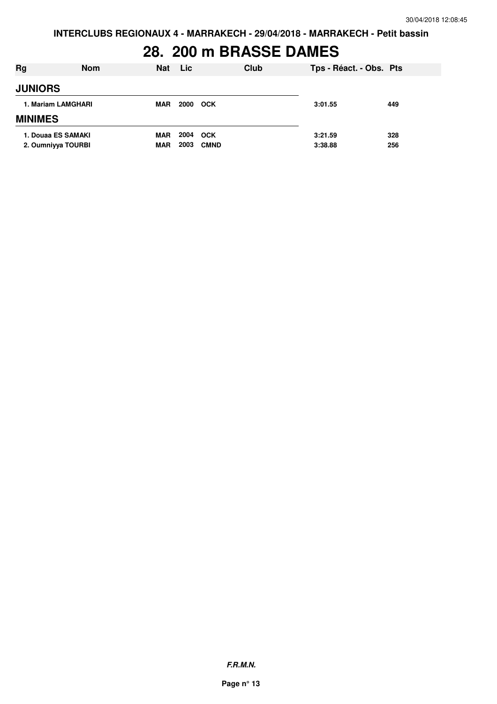# **28. 200 m BRASSE DAMES**

| Rg                                       | <b>Nom</b> | <b>Nat</b>               | <b>Lic</b>   | Club                      | Tps - Réact. - Obs. Pts |            |
|------------------------------------------|------------|--------------------------|--------------|---------------------------|-------------------------|------------|
| <b>JUNIORS</b>                           |            |                          |              |                           |                         |            |
| 1. Mariam LAMGHARI                       |            | <b>MAR</b>               | 2000         | <b>OCK</b>                | 3:01.55                 | 449        |
| <b>MINIMES</b>                           |            |                          |              |                           |                         |            |
| 1. Douaa ES SAMAKI<br>2. Oumniyya TOURBI |            | <b>MAR</b><br><b>MAR</b> | 2004<br>2003 | <b>OCK</b><br><b>CMND</b> | 3:21.59<br>3:38.88      | 328<br>256 |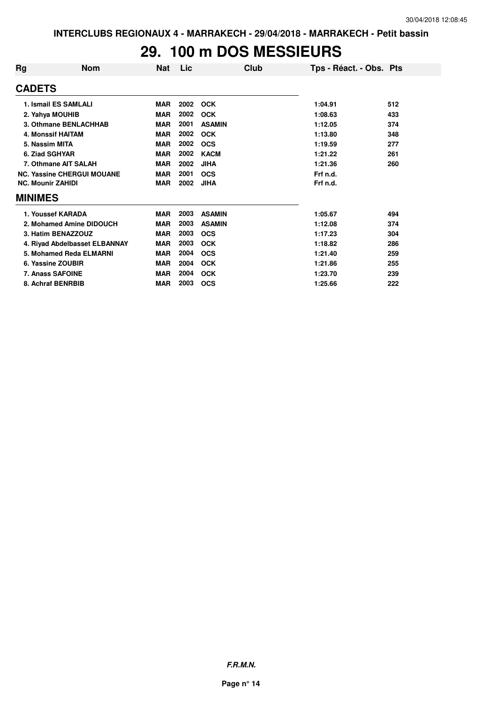## **29. 100 m DOS MESSIEURS**

| Rg                                | <b>Nom</b>                    | Nat        | Lic  | Club          | Tps - Réact. - Obs. Pts |     |
|-----------------------------------|-------------------------------|------------|------|---------------|-------------------------|-----|
| <b>CADETS</b>                     |                               |            |      |               |                         |     |
|                                   | 1. Ismail ES SAMLALI          | <b>MAR</b> | 2002 | <b>OCK</b>    | 1:04.91                 | 512 |
|                                   | 2. Yahya MOUHIB               | <b>MAR</b> | 2002 | <b>OCK</b>    | 1:08.63                 | 433 |
|                                   | 3. Othmane BENLACHHAB         | <b>MAR</b> | 2001 | <b>ASAMIN</b> | 1:12.05                 | 374 |
|                                   | 4. Monssif HAITAM             | <b>MAR</b> | 2002 | <b>OCK</b>    | 1:13.80                 | 348 |
| 5. Nassim MITA                    |                               | <b>MAR</b> | 2002 | <b>OCS</b>    | 1:19.59                 | 277 |
|                                   | 6. Ziad SGHYAR                | <b>MAR</b> | 2002 | <b>KACM</b>   | 1:21.22                 | 261 |
| 7. Othmane AIT SALAH              |                               | <b>MAR</b> | 2002 | <b>JIHA</b>   | 1:21.36                 | 260 |
| <b>NC. Yassine CHERGUI MOUANE</b> |                               | <b>MAR</b> | 2001 | <b>OCS</b>    | Frf n.d.                |     |
| <b>NC. Mounir ZAHIDI</b>          |                               | <b>MAR</b> | 2002 | <b>JIHA</b>   | Frf n.d.                |     |
| <b>MINIMES</b>                    |                               |            |      |               |                         |     |
|                                   | 1. Youssef KARADA             | <b>MAR</b> | 2003 | <b>ASAMIN</b> | 1:05.67                 | 494 |
|                                   | 2. Mohamed Amine DIDOUCH      | <b>MAR</b> | 2003 | <b>ASAMIN</b> | 1:12.08                 | 374 |
|                                   | 3. Hatim BENAZZOUZ            | <b>MAR</b> | 2003 | <b>OCS</b>    | 1:17.23                 | 304 |
|                                   | 4. Riyad Abdelbasset ELBANNAY | <b>MAR</b> | 2003 | <b>OCK</b>    | 1:18.82                 | 286 |
|                                   | 5. Mohamed Reda ELMARNI       | <b>MAR</b> | 2004 | <b>OCS</b>    | 1:21.40                 | 259 |
|                                   | 6. Yassine ZOUBIR             | <b>MAR</b> | 2004 | <b>OCK</b>    | 1:21.86                 | 255 |
| 7. Anass SAFOINE                  |                               | <b>MAR</b> | 2004 | <b>OCK</b>    | 1:23.70                 | 239 |
| 8. Achraf BENRBIB                 |                               | <b>MAR</b> | 2003 | <b>OCS</b>    | 1:25.66                 | 222 |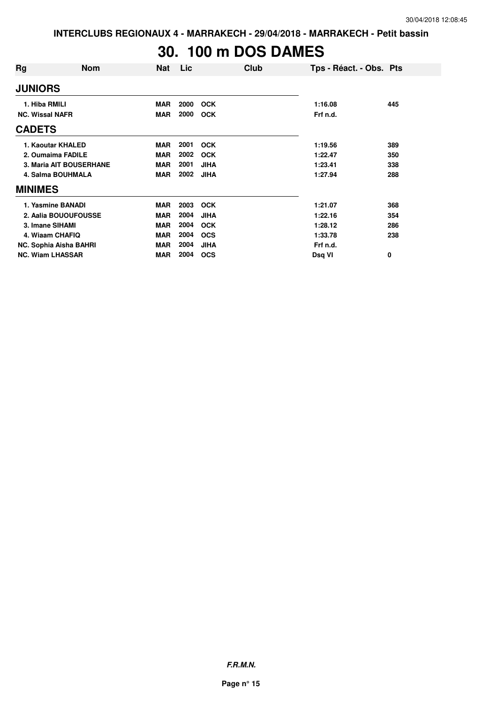# **30. 100 m DOS DAMES**

| Rg                      | <b>Nom</b>        | <b>Nat</b> | Lic  | Club        | Tps - Réact. - Obs. Pts |     |
|-------------------------|-------------------|------------|------|-------------|-------------------------|-----|
| <b>JUNIORS</b>          |                   |            |      |             |                         |     |
| 1. Hiba RMILI           |                   | <b>MAR</b> | 2000 | <b>OCK</b>  | 1:16.08                 | 445 |
| <b>NC. Wissal NAFR</b>  |                   | <b>MAR</b> | 2000 | <b>OCK</b>  | Frf n.d.                |     |
| <b>CADETS</b>           |                   |            |      |             |                         |     |
| 1. Kaoutar KHALED       |                   | <b>MAR</b> | 2001 | <b>OCK</b>  | 1:19.56                 | 389 |
| 2. Oumaima FADILE       |                   | <b>MAR</b> | 2002 | <b>OCK</b>  | 1:22.47                 | 350 |
| 3. Maria AIT BOUSERHANE |                   | <b>MAR</b> | 2001 | <b>JIHA</b> | 1:23.41                 | 338 |
| 4. Salma BOUHMALA       |                   | <b>MAR</b> | 2002 | <b>JIHA</b> | 1:27.94                 | 288 |
| <b>MINIMES</b>          |                   |            |      |             |                         |     |
|                         | 1. Yasmine BANADI | <b>MAR</b> | 2003 | <b>OCK</b>  | 1:21.07                 | 368 |
| 2. Aalia BOUOUFOUSSE    |                   | <b>MAR</b> | 2004 | <b>JIHA</b> | 1:22.16                 | 354 |
| 3. Imane SIHAMI         |                   | <b>MAR</b> | 2004 | <b>OCK</b>  | 1:28.12                 | 286 |
|                         | 4. Wiaam CHAFIQ   | <b>MAR</b> | 2004 | <b>OCS</b>  | 1:33.78                 | 238 |
| NC. Sophia Aisha BAHRI  |                   | <b>MAR</b> | 2004 | <b>JIHA</b> | Frf n.d.                |     |
| <b>NC. Wiam LHASSAR</b> |                   | <b>MAR</b> | 2004 | <b>OCS</b>  | Dsq VI                  | 0   |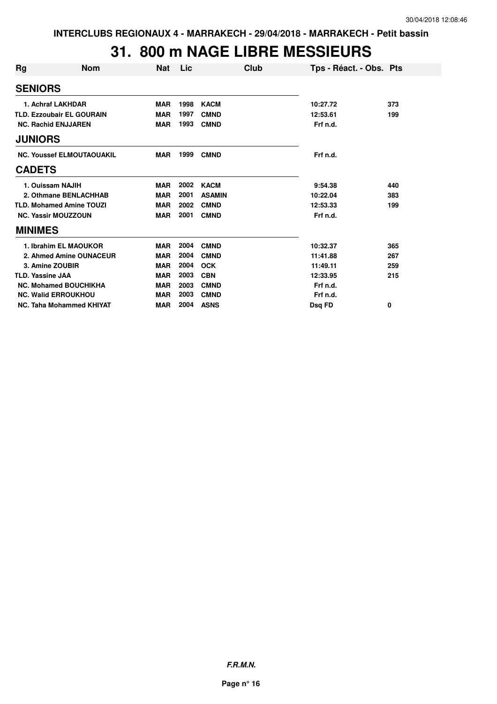### **31. 800 m NAGE LIBRE MESSIEURS**

| Rg                               | <b>Nom</b>                 | <b>Nat</b> | Lic  | Club          | Tps - Réact. - Obs. Pts |     |
|----------------------------------|----------------------------|------------|------|---------------|-------------------------|-----|
| <b>SENIORS</b>                   |                            |            |      |               |                         |     |
|                                  | 1. Achraf LAKHDAR          | <b>MAR</b> | 1998 | <b>KACM</b>   | 10:27.72                | 373 |
| <b>TLD. Ezzoubair EL GOURAIN</b> |                            | <b>MAR</b> | 1997 | <b>CMND</b>   | 12:53.61                | 199 |
|                                  | <b>NC. Rachid ENJJAREN</b> | <b>MAR</b> | 1993 | <b>CMND</b>   | Frf n.d.                |     |
| <b>JUNIORS</b>                   |                            |            |      |               |                         |     |
| <b>NC. Youssef ELMOUTAOUAKIL</b> |                            | <b>MAR</b> | 1999 | <b>CMND</b>   | Frf n.d.                |     |
| <b>CADETS</b>                    |                            |            |      |               |                         |     |
|                                  | 1. Ouissam NAJIH           | <b>MAR</b> | 2002 | <b>KACM</b>   | 9:54.38                 | 440 |
| 2. Othmane BENLACHHAB            |                            | <b>MAR</b> | 2001 | <b>ASAMIN</b> | 10:22.04                | 383 |
| <b>TLD. Mohamed Amine TOUZI</b>  |                            | <b>MAR</b> | 2002 | <b>CMND</b>   | 12:53.33                | 199 |
| <b>NC. Yassir MOUZZOUN</b>       |                            | <b>MAR</b> | 2001 | <b>CMND</b>   | Frf n.d.                |     |
| <b>MINIMES</b>                   |                            |            |      |               |                         |     |
|                                  | 1. Ibrahim EL MAOUKOR      | <b>MAR</b> | 2004 | <b>CMND</b>   | 10:32.37                | 365 |
| 2. Ahmed Amine OUNACEUR          |                            | <b>MAR</b> | 2004 | <b>CMND</b>   | 11:41.88                | 267 |
| 3. Amine ZOUBIR                  |                            | <b>MAR</b> | 2004 | <b>OCK</b>    | 11:49.11                | 259 |
| <b>TLD. Yassine JAA</b>          |                            | <b>MAR</b> | 2003 | <b>CBN</b>    | 12:33.95                | 215 |
| <b>NC. Mohamed BOUCHIKHA</b>     |                            | <b>MAR</b> | 2003 | <b>CMND</b>   | Frf n.d.                |     |
|                                  | <b>NC. Walid ERROUKHOU</b> | <b>MAR</b> | 2003 | <b>CMND</b>   | Frf n.d.                |     |
| NC. Taha Mohammed KHIYAT         |                            | <b>MAR</b> | 2004 | <b>ASNS</b>   | Dsq FD                  | 0   |